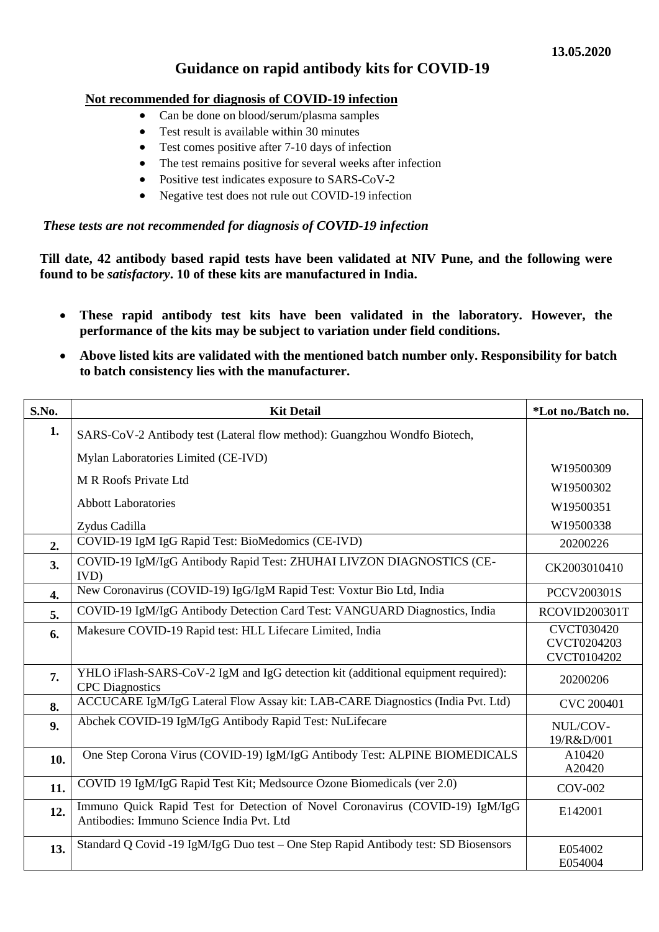## **Guidance on rapid antibody kits for COVID-19**

## **Not recommended for diagnosis of COVID-19 infection**

- Can be done on blood/serum/plasma samples
- Test result is available within 30 minutes
- Test comes positive after 7-10 days of infection
- The test remains positive for several weeks after infection
- Positive test indicates exposure to SARS-CoV-2
- Negative test does not rule out COVID-19 infection

*These tests are not recommended for diagnosis of COVID-19 infection*

**Till date, 42 antibody based rapid tests have been validated at NIV Pune, and the following were found to be** *satisfactory***. 10 of these kits are manufactured in India.**

- **These rapid antibody test kits have been validated in the laboratory. However, the performance of the kits may be subject to variation under field conditions.**
- **Above listed kits are validated with the mentioned batch number only. Responsibility for batch to batch consistency lies with the manufacturer.**

| S.No. | <b>Kit Detail</b>                                                                                                          | *Lot no./Batch no.                                     |
|-------|----------------------------------------------------------------------------------------------------------------------------|--------------------------------------------------------|
| 1.    | SARS-CoV-2 Antibody test (Lateral flow method): Guangzhou Wondfo Biotech,                                                  |                                                        |
|       | Mylan Laboratories Limited (CE-IVD)<br>M R Roofs Private Ltd                                                               | W19500309<br>W19500302                                 |
|       | <b>Abbott Laboratories</b>                                                                                                 | W19500351                                              |
|       | Zydus Cadilla                                                                                                              | W19500338                                              |
| 2.    | COVID-19 IgM IgG Rapid Test: BioMedomics (CE-IVD)                                                                          | 20200226                                               |
| 3.    | COVID-19 IgM/IgG Antibody Rapid Test: ZHUHAI LIVZON DIAGNOSTICS (CE-<br>IVD)                                               | CK2003010410                                           |
| 4.    | New Coronavirus (COVID-19) IgG/IgM Rapid Test: Voxtur Bio Ltd, India                                                       | <b>PCCV200301S</b>                                     |
| 5.    | COVID-19 IgM/IgG Antibody Detection Card Test: VANGUARD Diagnostics, India                                                 | RCOVID200301T                                          |
| 6.    | Makesure COVID-19 Rapid test: HLL Lifecare Limited, India                                                                  | <b>CVCT030420</b><br><b>CVCT0204203</b><br>CVCT0104202 |
| 7.    | YHLO iFlash-SARS-CoV-2 IgM and IgG detection kit (additional equipment required):<br><b>CPC</b> Diagnostics                | 20200206                                               |
| 8.    | ACCUCARE IgM/IgG Lateral Flow Assay kit: LAB-CARE Diagnostics (India Pvt. Ltd)                                             | CVC 200401                                             |
| 9.    | Abchek COVID-19 IgM/IgG Antibody Rapid Test: NuLifecare                                                                    | NUL/COV-<br>19/R&D/001                                 |
| 10.   | One Step Corona Virus (COVID-19) IgM/IgG Antibody Test: ALPINE BIOMEDICALS                                                 | A10420<br>A20420                                       |
| 11.   | COVID 19 IgM/IgG Rapid Test Kit; Medsource Ozone Biomedicals (ver 2.0)                                                     | <b>COV-002</b>                                         |
| 12.   | Immuno Quick Rapid Test for Detection of Novel Coronavirus (COVID-19) IgM/IgG<br>Antibodies: Immuno Science India Pvt. Ltd | E142001                                                |
| 13.   | Standard Q Covid -19 IgM/IgG Duo test - One Step Rapid Antibody test: SD Biosensors                                        | E054002<br>E054004                                     |